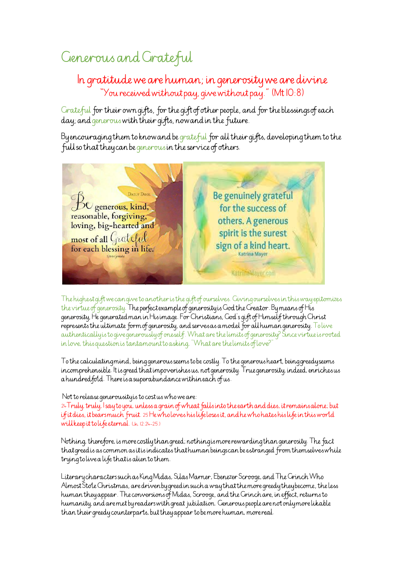## Generous and Grateful

## In gratitude we are human; in generosity we are divine "You received without pay, give without pay." (Mt 10:8)

Grateful for their own gifts, for the gift of other people, and for the blessings of each day; and generous with their gifts, now and in the future.

By encouraging them to know and be grateful for all their gifts, developing them to the full so that they can be generous in the service of others.



The highest gift we can give to another is the gift of ourselves. Giving ourselves in this way epitomizes the virtue of generosity. The perfect example of generosity is God the Creator. By means of His generosity, He generated man in His image. For Christians, God's gift of Himself through Christ represents the ultimate form of generosity, and serves as a model for all human generosity. To live authentically is to give generously of oneself. What are the limits of generosity? Since virtue is rooted in love, this question is tantamount to asking, "What are the limits of love?"

To the calculating mind, being generous seems to be costly. To the generous heart, being greedy seems incomprehensible. It is greed that impoverishes us, not generosity. True generosity, indeed, enriches us a hundred fold. There is a superabundance within each of us.

## Not to release generousity is to cost us who we are:

24 Truly, truly, Isay to you, unless a grain of wheat falls into the earth and dies, it remains alone; but if it dies, it bears much fruit. 25 He who loves his life loses it, and he who hates his life in this world will keep it to life eternal. (Jn. 12:24-25.)

Nothing, therefore, is more costly than greed; nothing is more rewarding than generosity. The fact that greed is as common as it is indicates that human beings can be estranged from themselves while trying to live a life that is alien to them.

Literary characters such as King Midas, Silas Marner, Ebenezer Scrooge, and The Grinch Who Almost Stole Christmas, are driven by greed in such a way that the more greedy they become, the less human they appear. The conversions of Midas, Scrooge, and the Grinch are, in effect, returns to humanity, and are met by readers with great jubilation. Generous people are not only more likable than their greedy counterparts, but they appear to be more human, more real.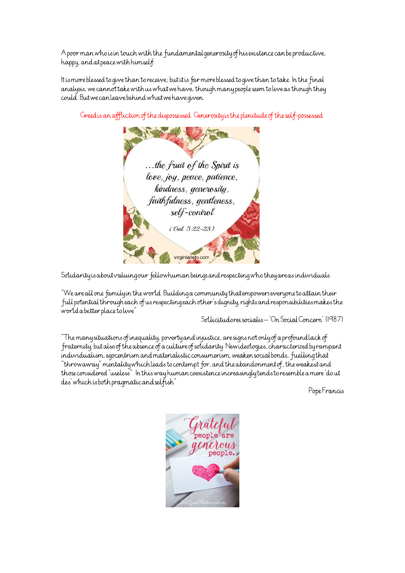A poor man who is in touch with the fundamental generosity of his existence can be productive, happy, and at peace with himself.

It is more blessed to give than to receive; but it is far more blessed to give than to take. In the final analysis, we cannot take with us what we have, though many people seem to live as though they could. But we can leave behind what we have given.



Greed is an affliction of the dispossessed. Generosity is the plenitude of the self-possessed.

Solidarity is about valuing our fellowhuman beings and respecting who they are as individuals.

"We are all one family in the world. Building a community that empowers everyone to attain their full potential through each of us respecting each other's dignity, rights and responsibilities makes the world a better place to live"

Sollicitudo rei socialis - 'On Social Concern' (1987)

"The many situations of inequality, poverty and injustice, are signs not only of a profound lack of fraternity, but also of the absence of a culture of solidarity. Newideologies, characterized by rampant individualism, egocentrism and materialistic consumerism, weaken social bonds, fuelling that "throwaway" mentality which leads to contempt for, and the abandonment of, the weakest and those considered "useless". In this way human coexistence increasingly tends to resemble a mere 'do ut des' which is both pragmatic and selfish"

Pope Francis